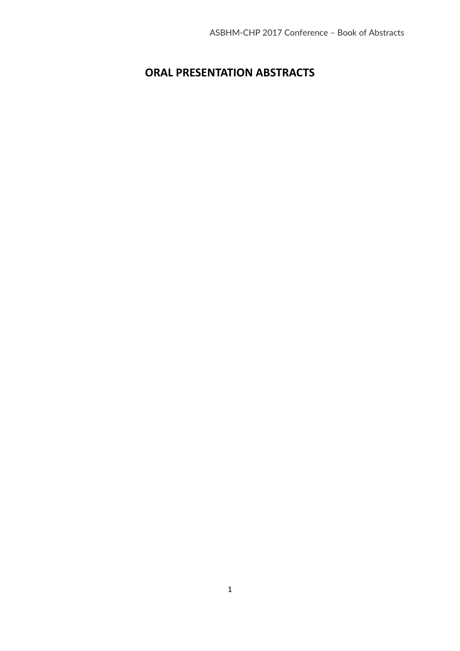## **ORAL PRESENTATION ABSTRACTS**